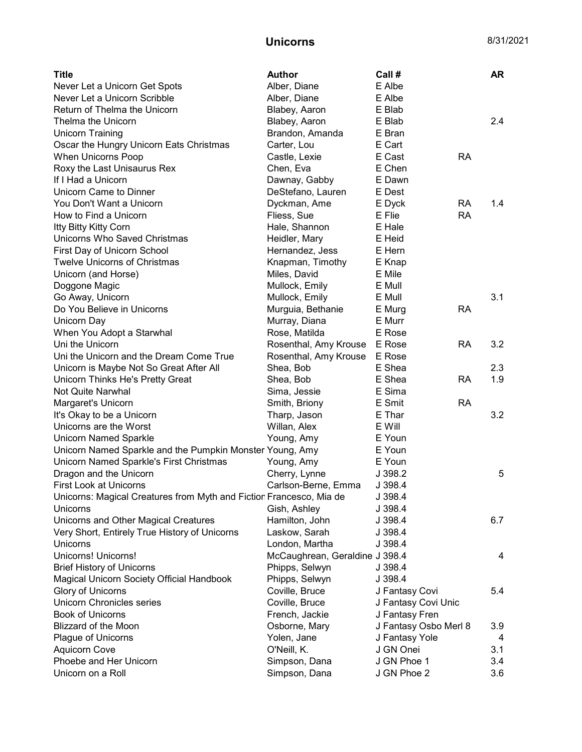## **Unicorns** 8/31/2021

| <b>Title</b>                                                        | <b>Author</b>                  | Call #                |           | AR  |
|---------------------------------------------------------------------|--------------------------------|-----------------------|-----------|-----|
| Never Let a Unicorn Get Spots                                       | Alber, Diane                   | E Albe                |           |     |
| Never Let a Unicorn Scribble                                        | Alber, Diane                   | E Albe                |           |     |
| Return of Thelma the Unicorn                                        | Blabey, Aaron                  | E Blab                |           |     |
| Thelma the Unicorn                                                  | Blabey, Aaron                  | E Blab                |           | 2.4 |
| <b>Unicorn Training</b>                                             | Brandon, Amanda                | E Bran                |           |     |
| Oscar the Hungry Unicorn Eats Christmas                             | Carter, Lou                    | E Cart                |           |     |
| When Unicorns Poop                                                  | Castle, Lexie                  | E Cast                | <b>RA</b> |     |
| Roxy the Last Unisaurus Rex                                         | Chen, Eva                      | E Chen                |           |     |
| If I Had a Unicorn                                                  | Dawnay, Gabby                  | E Dawn                |           |     |
| Unicorn Came to Dinner                                              | DeStefano, Lauren              | E Dest                |           |     |
| You Don't Want a Unicorn                                            | Dyckman, Ame                   | E Dyck                | RA        | 1.4 |
| How to Find a Unicorn                                               | Fliess, Sue                    | E Flie                | <b>RA</b> |     |
| Itty Bitty Kitty Corn                                               | Hale, Shannon                  | E Hale                |           |     |
| Unicorns Who Saved Christmas                                        | Heidler, Mary                  | E Heid                |           |     |
| First Day of Unicorn School                                         | Hernandez, Jess                | E Hern                |           |     |
| <b>Twelve Unicorns of Christmas</b>                                 | Knapman, Timothy               | E Knap                |           |     |
| Unicorn (and Horse)                                                 | Miles, David                   | E Mile                |           |     |
| Doggone Magic                                                       | Mullock, Emily                 | E Mull                |           |     |
| Go Away, Unicorn                                                    | Mullock, Emily                 | E Mull                |           | 3.1 |
| Do You Believe in Unicorns                                          | Murguia, Bethanie              | E Murg                | RA        |     |
| Unicorn Day                                                         | Murray, Diana                  | E Murr                |           |     |
| When You Adopt a Starwhal                                           | Rose, Matilda                  | E Rose                |           |     |
| Uni the Unicorn                                                     | Rosenthal, Amy Krouse          | E Rose                | <b>RA</b> | 3.2 |
| Uni the Unicorn and the Dream Come True                             | Rosenthal, Amy Krouse          | E Rose                |           |     |
| Unicorn is Maybe Not So Great After All                             | Shea, Bob                      | E Shea                |           | 2.3 |
| Unicorn Thinks He's Pretty Great                                    | Shea, Bob                      | E Shea                | <b>RA</b> | 1.9 |
| Not Quite Narwhal                                                   | Sima, Jessie                   | E Sima                |           |     |
| Margaret's Unicorn                                                  | Smith, Briony                  | E Smit                | <b>RA</b> |     |
| It's Okay to be a Unicorn                                           | Tharp, Jason                   | E Thar                |           | 3.2 |
| Unicorns are the Worst                                              | Willan, Alex                   | E Will                |           |     |
| <b>Unicorn Named Sparkle</b>                                        | Young, Amy                     | E Youn                |           |     |
| Unicorn Named Sparkle and the Pumpkin Monster Young, Amy            |                                | E Youn                |           |     |
| Unicorn Named Sparkle's First Christmas                             | Young, Amy                     | E Youn                |           |     |
| Dragon and the Unicorn                                              | Cherry, Lynne                  | J 398.2               |           | 5   |
| First Look at Unicorns                                              | Carlson-Berne, Emma            | J 398.4               |           |     |
| Unicorns: Magical Creatures from Myth and Fiction Francesco, Mia de |                                | J 398.4               |           |     |
| Unicorns                                                            | Gish, Ashley                   | J 398.4               |           |     |
| Unicorns and Other Magical Creatures                                | Hamilton, John                 | J 398.4               |           | 6.7 |
| Very Short, Entirely True History of Unicorns                       | Laskow, Sarah                  | J 398.4               |           |     |
| Unicorns                                                            | London, Martha                 | J 398.4               |           |     |
| Unicorns! Unicorns!                                                 | McCaughrean, Geraldine J 398.4 |                       |           | 4   |
| <b>Brief History of Unicorns</b>                                    | Phipps, Selwyn                 | J 398.4               |           |     |
| Magical Unicorn Society Official Handbook                           | Phipps, Selwyn                 | J 398.4               |           |     |
| Glory of Unicorns                                                   | Coville, Bruce                 | J Fantasy Covi        |           | 5.4 |
| <b>Unicorn Chronicles series</b>                                    | Coville, Bruce                 | J Fantasy Covi Unic   |           |     |
| <b>Book of Unicorns</b>                                             | French, Jackie                 | J Fantasy Fren        |           |     |
| Blizzard of the Moon                                                | Osborne, Mary                  | J Fantasy Osbo Merl 8 |           | 3.9 |
| Plague of Unicorns                                                  | Yolen, Jane                    | J Fantasy Yole        |           | 4   |
| <b>Aquicorn Cove</b>                                                | O'Neill, K.                    | J GN Onei             |           | 3.1 |
| Phoebe and Her Unicorn                                              | Simpson, Dana                  | J GN Phoe 1           |           | 3.4 |
| Unicorn on a Roll                                                   | Simpson, Dana                  | J GN Phoe 2           |           | 3.6 |
|                                                                     |                                |                       |           |     |